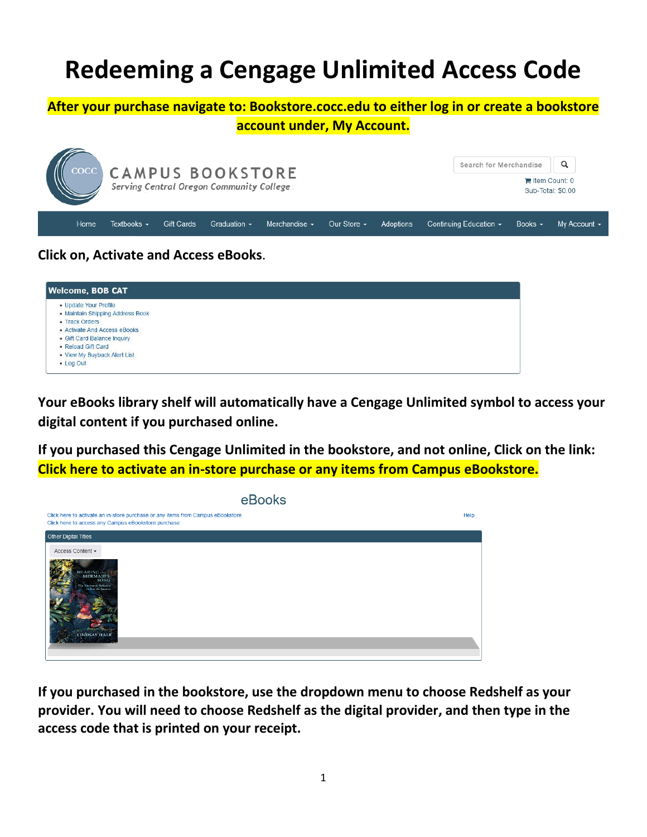# **Redeeming a Cengage Unlimited Access Code**

### **After your purchase navigate to: Bookstore.cocc.edu to either log in or create a bookstore**

#### **account under, My Account.**



## **Click on, Activate and Access eBooks**.

| <b>Welcome, BOB CAT</b>          |  |
|----------------------------------|--|
| • Update Your Profile            |  |
| • Maintain Shipping Address Book |  |
| • Track Orders                   |  |
| • Activate And Access eBooks     |  |
| • Gift Card Balance Inquiry      |  |
| • Reload Gift Card               |  |
| • View My Buyback Alert List     |  |
| • Log Out                        |  |

**Your eBooks library shelf will automatically have a Cengage Unlimited symbol to access your digital content if you purchased online.**

**If you purchased this Cengage Unlimited in the bookstore, and not online, Click on the link: Click here to activate an in-store purchase or any items from Campus eBookstore.**



**If you purchased in the bookstore, use the dropdown menu to choose Redshelf as your provider. You will need to choose Redshelf as the digital provider, and then type in the access code that is printed on your receipt.**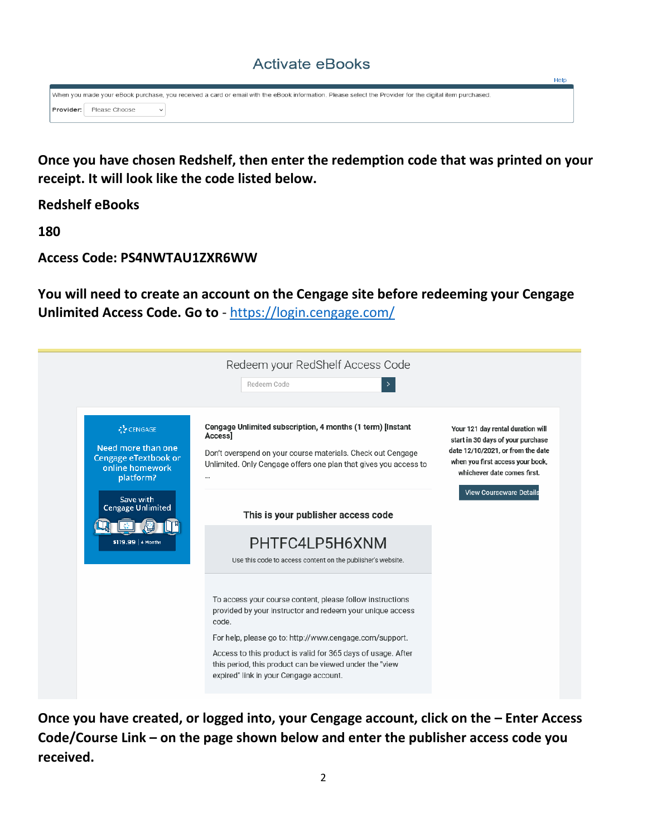# **Activate eBooks**

Help

When you made your eBook purchase, you received a card or email with the eBook information. Please select the Provider for the digital item purchased. Provider: Please Choose  $\check{~}$ 

**Once you have chosen Redshelf, then enter the redemption code that was printed on your receipt. It will look like the code listed below.**

**Redshelf eBooks**

**180**

**Access Code: PS4NWTAU1ZXR6WW**

**You will need to create an account on the Cengage site before redeeming your Cengage Unlimited Access Code. Go to** - <https://login.cengage.com/>

|                                                                                                                                                                | Redeem your RedShelf Access Code<br>Redeem Code                                                                                                                                                                                                                                                                       |                                                                                                                                                                                |
|----------------------------------------------------------------------------------------------------------------------------------------------------------------|-----------------------------------------------------------------------------------------------------------------------------------------------------------------------------------------------------------------------------------------------------------------------------------------------------------------------|--------------------------------------------------------------------------------------------------------------------------------------------------------------------------------|
| <b>W</b> CENGAGE<br>Need more than one<br>Cengage eTextbook or<br>online homework<br>platform?<br>Save with<br><b>Cengage Unlimited</b><br>\$119.99   4 Months | Cengage Unlimited subscription, 4 months (1 term) [Instant<br>Access]<br>Don't overspend on your course materials. Check out Cengage<br>Unlimited. Only Cengage offers one plan that gives you access to<br>                                                                                                          | Your 121 day rental duration will<br>start in 30 days of your purchase<br>date 12/10/2021, or from the date<br>when you first access your book,<br>whichever date comes first. |
|                                                                                                                                                                | This is your publisher access code<br>PHTFC4LP5H6XNM<br>Use this code to access content on the publisher's website.                                                                                                                                                                                                   | <b>View Courseware Details</b>                                                                                                                                                 |
|                                                                                                                                                                | To access your course content, please follow instructions<br>provided by your instructor and redeem your unique access<br>code.<br>For help, please go to: http://www.cengage.com/support.<br>Access to this product is valid for 365 days of usage. After<br>this period, this product can be viewed under the "view |                                                                                                                                                                                |

Once you have created, or logged into, your Cengage account, click on the - Enter Access **Code/Course Link – on the page shown below and enter the publisher access code you received.**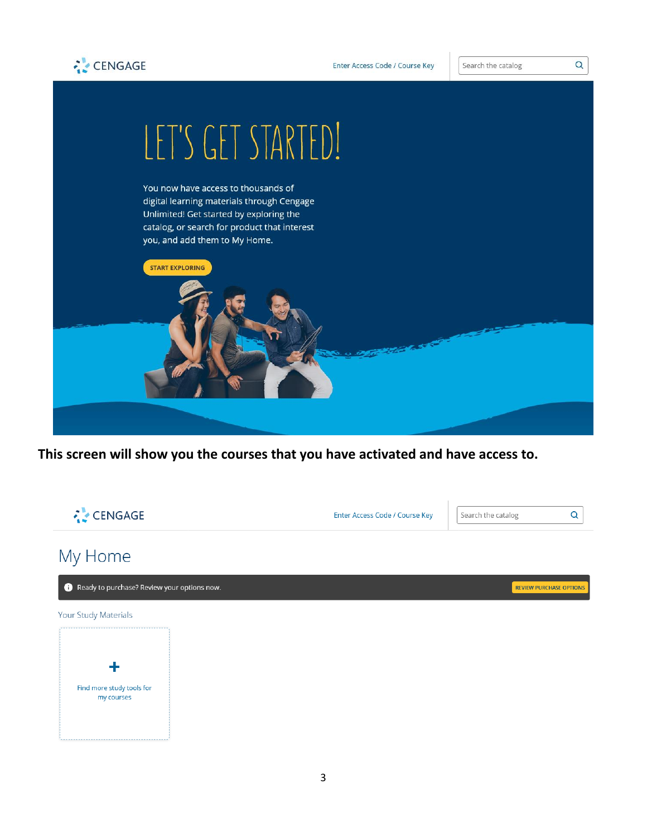



Search the catalog

Q



**This screen will show you the courses that you have activated and have access to.**